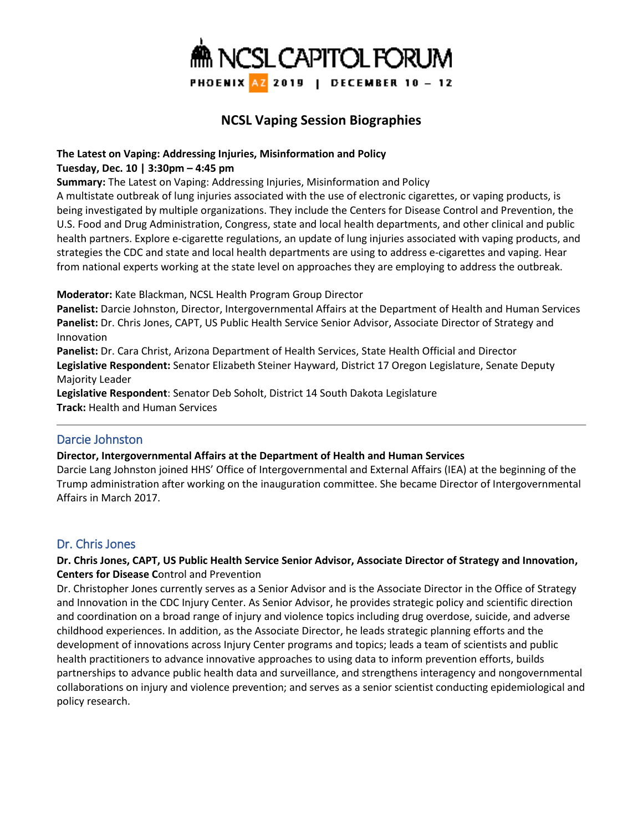

# **NCSL Vaping Session Biographies**

## **The Latest on Vaping: Addressing Injuries, Misinformation and Policy**

#### **Tuesday, Dec. 10 | 3:30pm – 4:45 pm**

**Summary:** The Latest on Vaping: Addressing Injuries, Misinformation and Policy

A multistate outbreak of lung injuries associated with the use of electronic cigarettes, or vaping products, is being investigated by multiple organizations. They include the Centers for Disease Control and Prevention, the U.S. Food and Drug Administration, Congress, state and local health departments, and other clinical and public health partners. Explore e-cigarette regulations, an update of lung injuries associated with vaping products, and strategies the CDC and state and local health departments are using to address e-cigarettes and vaping. Hear from national experts working at the state level on approaches they are employing to address the outbreak.

**Moderator:** Kate Blackman, NCSL Health Program Group Director

**Panelist:** Darcie Johnston, Director, Intergovernmental Affairs at the Department of Health and Human Services **Panelist:** Dr. Chris Jones, CAPT, US Public Health Service Senior Advisor, Associate Director of Strategy and Innovation

**Panelist:** Dr. Cara Christ, Arizona Department of Health Services, State Health Official and Director **Legislative Respondent:** Senator Elizabeth Steiner Hayward, District 17 Oregon Legislature, Senate Deputy Majority Leader

**Legislative Respondent**: Senator Deb Soholt, District 14 South Dakota Legislature **Track:** Health and Human Services

# Darcie Johnston

### **Director, Intergovernmental Affairs at the Department of Health and Human Services**

Darcie Lang Johnston joined HHS' Office of Intergovernmental and External Affairs (IEA) at the beginning of the Trump administration after working on the inauguration committee. She became Director of Intergovernmental Affairs in March 2017.

# Dr. Chris Jones

### **Dr. Chris Jones, CAPT, US Public Health Service Senior Advisor, Associate Director of Strategy and Innovation, Centers for Disease C**ontrol and Prevention

Dr. Christopher Jones currently serves as a Senior Advisor and is the Associate Director in the Office of Strategy and Innovation in the CDC Injury Center. As Senior Advisor, he provides strategic policy and scientific direction and coordination on a broad range of injury and violence topics including drug overdose, suicide, and adverse childhood experiences. In addition, as the Associate Director, he leads strategic planning efforts and the development of innovations across Injury Center programs and topics; leads a team of scientists and public health practitioners to advance innovative approaches to using data to inform prevention efforts, builds partnerships to advance public health data and surveillance, and strengthens interagency and nongovernmental collaborations on injury and violence prevention; and serves as a senior scientist conducting epidemiological and policy research.